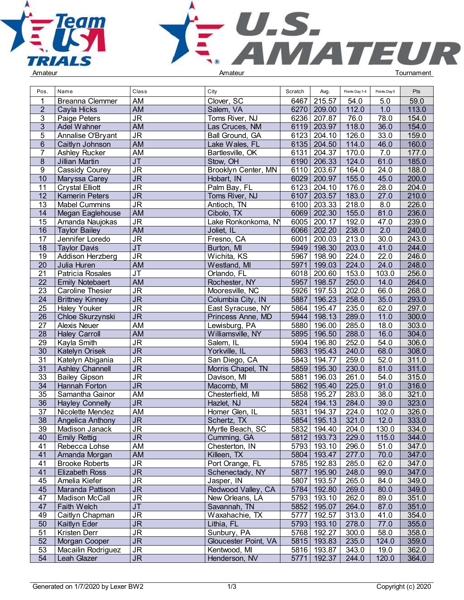



| Pos.            | Name                    | Class                             | City                 | Scratch | Avg.          | Points Day 1-4 | Points Day 5 | Pts   |  |
|-----------------|-------------------------|-----------------------------------|----------------------|---------|---------------|----------------|--------------|-------|--|
| 1               | <b>Breanna Clemmer</b>  | AM                                | Clover, SC           | 6467    | 215.57        | 54.0           | 5.0          | 59.0  |  |
| $\overline{2}$  | Cayla Hicks             | AM                                | Salem, VA            | 6270    | 209.00        | 112.0          | 1.0          | 113.0 |  |
| 3               | Paige Peters            | JR.                               | Toms River, NJ       | 6236    | 207.87        | 76.0           | 78.0         | 154.0 |  |
| $\mathbf{3}$    | Adel Wahner             | <b>AM</b>                         | Las Cruces, NM       |         | 6119 203.97   | 118.0          | 36.0         | 154.0 |  |
| 5               | Annalise O'Bryant       | JR                                | Ball Ground, GA      | 6123    | 204.10        | 126.0          | 33.0         | 159.0 |  |
| $6\phantom{.}$  | Caitlyn Johnson         | <b>AM</b>                         | Lake Wales, FL       | 6135    | 204.50        | 114.0          | 46.0         | 160.0 |  |
| 7               | Ashley Rucker           | AM                                | Bartlesville, OK     | 6131    | 204.37        | 170.0          | 7.0          | 177.0 |  |
| 8               | Jillian Martin          | JT                                | Stow, OH             |         | 6190 206.33   | 124.0          | 61.0         | 185.0 |  |
| 9               | <b>Cassidy Courey</b>   | JR                                | Brooklyn Center, MN  | 6110    | 203.67        | 164.0          | 24.0         | 188.0 |  |
| 10              | Maryssa Carey           | <b>JR</b>                         | Hobart, IN           | 6029    | 200.97        | 155.0          | 45.0         | 200.0 |  |
| 11              | <b>Crystal Elliott</b>  | JR.                               | Palm Bay, FL         | 6123    | 204.10        | 176.0          | 28.0         | 204.0 |  |
| $\overline{12}$ |                         | $\overline{\mathsf{JR}}$          |                      | 6107    | 203.57        | 183.0          | 27.0         | 210.0 |  |
|                 | <b>Kamerin Peters</b>   |                                   | Toms River, NJ       |         |               |                |              |       |  |
| 13              | <b>Mabel Cummins</b>    | <b>JR</b>                         | Antioch, TN          | 6100    | 203.33        | 218.0          | 8.0          | 226.0 |  |
| 14              | Megan Eaglehouse        | <b>AM</b>                         | Cibolo, TX           |         | 6069 202.30   | 155.0          | 81.0         | 236.0 |  |
| 15              | Amanda Naujokas         | JR                                | Lake Ronkonkoma, N   | 6005    | 200.17        | 192.0          | 47.0         | 239.0 |  |
| 16              | <b>Taylor Bailey</b>    | <b>AM</b>                         | Joliet, IL           | 6066    | 202.20        | 238.0          | 2.0          | 240.0 |  |
| 17              | Jennifer Loredo         | JR.                               | Fresno, CA           | 6001    | 200.03        | 213.0          | 30.0         | 243.0 |  |
| 18              | <b>Taylor Davis</b>     | JT                                | Burton, MI           | 5949    | 198.30        | 203.0          | 41.0         | 244.0 |  |
| 19              | Addison Herzberg        | JR                                | Wichita, KS          | 5967    | 198.90        | 224.0          | 22.0         | 246.0 |  |
| 20              | Julia Huren             | <b>AM</b>                         | Westland, MI         | 5971    | 199.03        | 224.0          | 24.0         | 248.0 |  |
| 21              | Patricia Rosales        | $\overline{\mathsf{J}\mathsf{T}}$ | Orlando, FL          | 6018    | 200.60        | 153.0          | 103.0        | 256.0 |  |
| 22              | <b>Emily Notebaert</b>  | <b>AM</b>                         | Rochester, NY        | 5957    | 198.57        | 250.0          | 14.0         | 264.0 |  |
| 23              | <b>Caroline Thesier</b> | JR.                               | Mooresville, NC      | 5926    | 197.53        | 202.0          | 66.0         | 268.0 |  |
| 24              | <b>Brittney Kinney</b>  | $\overline{\mathsf{JR}}$          | Columbia City, IN    | 5887    | 196.23        | 258.0          | 35.0         | 293.0 |  |
| $\overline{25}$ | <b>Haley Youker</b>     | $\overline{\mathsf{J}\mathsf{R}}$ | East Syracuse, NY    | 5864    | 195.47        | 235.0          | 62.0         | 297.0 |  |
| $\overline{26}$ | Chloe Skurzynski        | JR                                | Princess Anne, MD    | 5944    | 198.13        | 289.0          | 11.0         | 300.0 |  |
| $\overline{27}$ | Alexis Neuer            | <b>AM</b>                         | Lewisburg, PA        | 5880    | 196.00        | 285.0          | 18.0         | 303.0 |  |
| 28              | <b>Haley Carroll</b>    | <b>AM</b>                         | Williamsville, NY    | 5895    | 196.50        | 288.0          | 16.0         | 304.0 |  |
| 29              | Kayla Smith             | JR                                | Salem, IL            | 5904    | 196.80        | 252.0          | 54.0         | 306.0 |  |
| 30              | Katelyn Orisek          | $\overline{\mathsf{JR}}$          | Yorkville, IL        | 5863    | 195.43        | 240.0          | 68.0         | 308.0 |  |
| 31              | Katelyn Abigania        | JR                                | San Diego, CA        | 5843    | 194.77        | 259.0          | 52.0         | 311.0 |  |
| 31              | <b>Ashley Channell</b>  | $\overline{\mathsf{JR}}$          | Morris Chapel, TN    | 5859    | 195.30        | 230.0          | 81.0         | 311.0 |  |
| 33              | <b>Bailey Gipson</b>    | JR                                | Davison, MI          | 5881    | 196.03        | 261.0          | 54.0         | 315.0 |  |
| 34              | Hannah Forton           | <b>JR</b>                         | Macomb, MI           | 5862    | 195.40        | 225.0          | 91.0         | 316.0 |  |
| 35              | Samantha Gainor         | <b>AM</b>                         | Chesterfield, MI     | 5858    | 195.27        | 283.0          | 38.0         | 321.0 |  |
| $\overline{36}$ | <b>Hayley Connelly</b>  | <b>JR</b>                         | Hazlet, NJ           | 5824    | 194.13        | 284.0          | 39.0         | 323.0 |  |
| 37              | Nicolette Mendez        | <b>AM</b>                         | Homer Glen, IL       | 5831    | 194.37        | 224.0          | 102.0        | 326.0 |  |
| 38              | Angelica Anthony        | <b>JR</b>                         | Schertz, TX          | 5854    | 195.13        | 321.0          | 12.0         | 333.0 |  |
| 39              | Madison Janack          | JR                                | Myrtle Beach, SC     |         | 5832   194.40 | 204.0          | 130.0        | 334.0 |  |
| 40              | <b>Emily Rettig</b>     | <b>JR</b>                         | Cumming, GA          |         | 5812 193.73   | 229.0          | 115.0        | 344.0 |  |
| 41              | Rebecca Lohse           | AM                                | Chesterton, IN       |         | 5793   193.10 | 296.0          | 51.0         | 347.0 |  |
| 41              | Amanda Morgan           | <b>AM</b>                         | Killeen, TX          |         | 5804 193.47   | 277.0          | 70.0         | 347.0 |  |
| 41              | <b>Brooke Roberts</b>   | JR                                | Port Orange, FL      |         | 5785 192.83   | 285.0          | 62.0         | 347.0 |  |
| 41              | <b>Elizabeth Ross</b>   | <b>JR</b>                         | Schenectady, NY      | 5877    | 195.90        | 248.0          | 99.0         | 347.0 |  |
| 45              | Amelia Kiefer           | JR                                | Jasper, IN           | 5807    | 193.57        | 265.0          | 84.0         | 349.0 |  |
| 45              | Maranda Pattison        | <b>JR</b>                         | Redwood Valley, CA   |         | 5784   192.80 | 269.0          | 80.0         | 349.0 |  |
| 47              | Madison McCall          | JR.                               |                      |         |               | 262.0          |              | 351.0 |  |
|                 |                         |                                   | New Orleans, LA      |         | 5793 193.10   |                | 89.0         |       |  |
| 47              | Faith Welch             | <b>JT</b>                         | Savannah, TN         |         | 5852 195.07   | 264.0          | 87.0         | 351.0 |  |
| 49              | Caitlyn Chapman         | <b>JR</b>                         | Waxahachie, TX       | 5777    | 192.57        | 313.0          | 41.0         | 354.0 |  |
| 50              | Kaitlyn Eder            | <b>JR</b>                         | Lithia, FL           |         | 5793 193.10   | 278.0          | 77.0         | 355.0 |  |
| 51              | Kristen Derr            | JR                                | Sunbury, PA          |         | 5768 192.27   | 300.0          | 58.0         | 358.0 |  |
| 52              | Morgan Cooper           | <b>JR</b>                         | Gloucester Point, VA |         | 5815 193.83   | 235.0          | 124.0        | 359.0 |  |
| 53              | Macailin Rodriguez      | JR.                               | Kentwood, MI         |         | 5816 193.87   | 343.0          | 19.0         | 362.0 |  |
| 54              | Leah Glazer             | <b>JR</b>                         | Henderson, NV        |         | 5771   192.37 | 244.0          | 120.0        | 364.0 |  |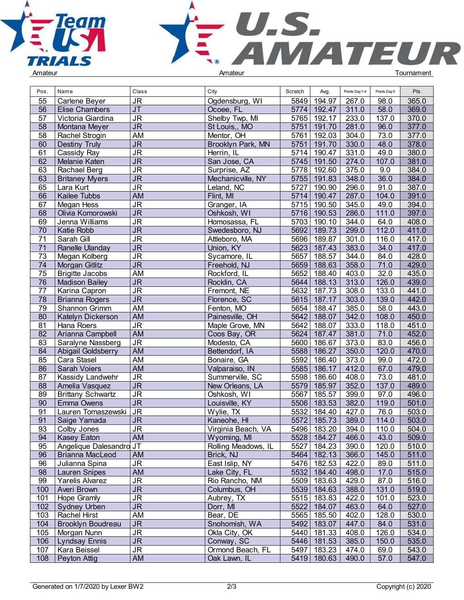



| Pos.            | Name                     | Class                             | City                | Scratch | Avg.          | Points Day 1-4 | Points Day 5 | Pts   |  |
|-----------------|--------------------------|-----------------------------------|---------------------|---------|---------------|----------------|--------------|-------|--|
| 55              | Carlene Beyer            | <b>JR</b>                         | Ogdensburg, WI      | 5849    | 194.97        | 267.0          | 98.0         | 365.0 |  |
| 56              | <b>Elise Chambers</b>    | $\overline{\mathsf{J}\mathsf{T}}$ | Ocoee, FL           | 5774    | 192.47        | 311.0          | 58.0         | 369.0 |  |
| 57              | Victoria Giardina        | $\overline{\mathsf{JR}}$          | Shelby Twp, MI      | 5765    | 192.17        | 233.0          | 137.0        | 370.0 |  |
| 58              | Montana Meyer            | <b>JR</b>                         | St Louis,, MO       | 5751    | 191.70        | 281.0          | 96.0         | 377.0 |  |
| 58              | Rachel Strogin           | <b>AM</b>                         | Mentor, OH          | 5761    | 192.03        | 304.0          | 73.0         | 377.0 |  |
| 60              | <b>Destiny Truly</b>     | $\overline{\mathsf{J}\mathsf{R}}$ | Brooklyn Park, MN   | 5751    | 191.70        | 330.0          | 48.0         | 378.0 |  |
| 61              | Cassidy Ray              | JR                                | Herrin, IL          | 5714    | 190.47        | 331.0          | 49.0         | 380.0 |  |
| 62              | Melanie Katen            | JR                                | San Jose, CA        | 5745    | 191.50        | 274.0          | 107.0        | 381.0 |  |
| 63              | Rachael Berg             | <b>JR</b>                         | Surprise, AZ        | 5778    | 192.60        | 375.0          | 9.0          | 384.0 |  |
| 63              | <b>Britaney Myers</b>    | <b>JR</b>                         | Mechanicville, NY   | 5755    | 191.83        | 348.0          | 36.0         | 384.0 |  |
| 65              | Lara Kurt                | $\overline{\mathsf{JR}}$          | Leland, NC          | 5727    | 190.90        | 296.0          | 91.0         | 387.0 |  |
| 66              | Kailee Tubbs             | <b>AM</b>                         | Flint, MI           | 5714    | 190.47        | 287.0          | 104.0        | 391.0 |  |
|                 |                          |                                   |                     |         |               |                |              |       |  |
| 67              | <b>Megan Hess</b>        | <b>JR</b>                         | Granger, IA         | 5715    | 190.50        | 345.0          | 49.0         | 394.0 |  |
| 68              | Olivia Komorowski        | <b>JR</b>                         | Oshkosh, WI         | 5716    | 190.53        | 286.0          | 111.0        | 397.0 |  |
| 69              | Jenna Williams           | <b>JR</b>                         | Homosassa, FL       | 5703    | 190.10        | 344.0          | 64.0         | 408.0 |  |
| 70              | Katie Robb               | <b>JR</b>                         | Swedesboro, NJ      | 5692    | 189.73        | 299.0          | 112.0        | 411.0 |  |
| $\overline{71}$ | Sarah Gill               | $\overline{\mathsf{J}\mathsf{R}}$ | Attleboro, MA       | 5696    | 189.87        | 301.0          | 116.0        | 417.0 |  |
| 71              | Ranelle Ulanday          | <b>JR</b>                         | Union, KY           | 5623    | 187.43        | 383.0          | 34.0         | 417.0 |  |
| 73              | Megan Kolberg            | <b>JR</b>                         | Sycamore, IL        | 5657    | 188.57        | 344.0          | 84.0         | 428.0 |  |
| 74              | Morgan Gitlitz           | <b>JR</b>                         | Freehold, NJ        | 5659    | 188.63        | 358.0          | 71.0         | 429.0 |  |
| 75              | <b>Brigitte Jacobs</b>   | <b>AM</b>                         | Rockford, IL        | 5652    | 188.40        | 403.0          | 32.0         | 435.0 |  |
| $\overline{76}$ | <b>Madison Bailey</b>    | $\overline{\mathsf{JR}}$          | Rocklin, CA         | 5644    | 188.13        | 313.0          | 126.0        | 439.0 |  |
| 77              | Karina Capron            | <b>JR</b>                         | Fremont, NE         | 5632    | 187.73        | 308.0          | 133.0        | 441.0 |  |
| 78              | <b>Brianna Rogers</b>    | $\overline{\mathsf{JR}}$          | Florence, SC        | 5615    | 187.17        | 303.0          | 139.0        | 442.0 |  |
| 79              | Shannon Grimm            | AM                                | Fenton, MO          | 5654    | 188.47        | 385.0          | 58.0         | 443.0 |  |
| 80              | Katelyn Dickerson        | <b>AM</b>                         | Painesville, OH     | 5642    | 188.07        | 342.0          | 108.0        | 450.0 |  |
| 81              | Hana Roers               | $\overline{\mathsf{JR}}$          | Maple Grove, MN     | 5642    | 188.07        | 333.0          | 118.0        | 451.0 |  |
| $\overline{82}$ | Arianna Campbell         | AM                                | Coos Bay, OR        | 5624    | 187.47        | 381.0          | 71.0         | 452.0 |  |
| 83              | Saralyne Nassberg        | <b>JR</b>                         | Modesto, CA         | 5600    | 186.67        | 373.0          | 83.0         | 456.0 |  |
| 84              | Abigail Goldsberry       | <b>AM</b>                         | Bettendorf, IA      | 5588    | 186.27        | 350.0          | 120.0        | 470.0 |  |
| 85              | Cara Stasel              | AM                                | Bonaire, GA         | 5592    | 186.40        | 373.0          | 99.0         | 472.0 |  |
| 86              | Sarah Voiers             | <b>AM</b>                         | Valparaiso, IN      | 5585    | 186.17        | 412.0          | 67.0         | 479.0 |  |
| 87              | Kassidy Landwehr         | <b>JR</b>                         | Summerville, SC     | 5598    | 186.60        | 408.0          | 73.0         | 481.0 |  |
| 88              | Amelia Vasquez           | <b>JR</b>                         | New Orleans, LA     | 5579    | 185.97        | 352.0          | 137.0        | 489.0 |  |
| 89              | <b>Brittany Schwartz</b> | <b>JR</b>                         | Oshkosh, WI         | 5567    | 185.57        | 399.0          | 97.0         | 496.0 |  |
| 90              | <b>Emma Owens</b>        | <b>JR</b>                         | Louisville, KY      | 5506    | 183.53        | 382.0          | 119.0        | 501.0 |  |
| 91              | Lauren Tomaszewski       | <b>JR</b>                         | Wylie, TX           | 5532    | 184.40        | 427.0          | 76.0         | 503.0 |  |
| 91              | Saige Yamada             | <b>JR</b>                         | Kaneohe, HI         | 5572    | 185.73        | 389.0          | 114.0        | 503.0 |  |
| 93              | Colby Jones              | JR                                | Virginia Beach, VA  |         | 5496   183.20 | 394.0          | 110.0        | 504.0 |  |
| 94              | Kasey Eaton              | AM                                | Wyoming, MI         |         | 5528 184.27   | 466.0          | 43.0         | 509.0 |  |
| 95              | Angelique Dalesandro JT  |                                   | Rolling Meadows, IL | 5527    | 184.23        | 390.0          | 120.0        | 510.0 |  |
| 96              | <b>Brianna MacLeod</b>   | AM                                | Brick, NJ           |         | 5464 182.13   | 366.0          | 145.0        | 511.0 |  |
| 96              | Julianna Spina           | <b>JR</b>                         | East Islip, NY      |         | 5476 182.53   | 422.0          | 89.0         | 511.0 |  |
| 98              | <b>Lauren Snipes</b>     | AM                                | Lake City, FL       |         | 5532   184.40 | 498.0          | 17.0         | 515.0 |  |
| 99              | Yarelis Alvarez          | <b>JR</b>                         | Rio Rancho, NM      |         | 5509 183.63   | 429.0          | 87.0         | 516.0 |  |
|                 |                          | <b>JR</b>                         | Columbus, OH        |         | 5539 184.63   |                | 131.0        | 519.0 |  |
| 100             | Averi Brown              |                                   |                     |         |               | 388.0          |              |       |  |
| 101             | Hope Gramly              | <b>JR</b>                         | Aubrey, TX          |         | 5515   183.83 | 422.0          | 101.0        | 523.0 |  |
| 102             | Sydney Urben             | <b>JR</b>                         | Dorr, MI            |         | 5522 184.07   | 463.0          | 64.0         | 527.0 |  |
| 103             | Rachel Hirst             | AM                                | Bear, DE            |         | 5565 185.50   | 402.0          | 128.0        | 530.0 |  |
| 104             | Brooklyn Boudreau        | <b>JR</b>                         | Snohomish, WA       |         | 5492   183.07 | 447.0          | 84.0         | 531.0 |  |
| 105             | Morgan Nunn              | <b>JR</b>                         | Okla City, OK       |         | 5440 181.33   | 408.0          | 126.0        | 534.0 |  |
| 106             | <b>Lyndsay Ennis</b>     | <b>JR</b>                         | Conway, SC          |         | 5446 181.53   | 385.0          | 150.0        | 535.0 |  |
| 107             | Kara Beissel             | <b>JR</b>                         | Ormond Beach, FL    |         | 5497   183.23 | 474.0          | 69.0         | 543.0 |  |
| 108             | Peyton Attig             | AM                                | Oak Lawn, IL        |         | 5419   180.63 | 490.0          | 57.0         | 547.0 |  |